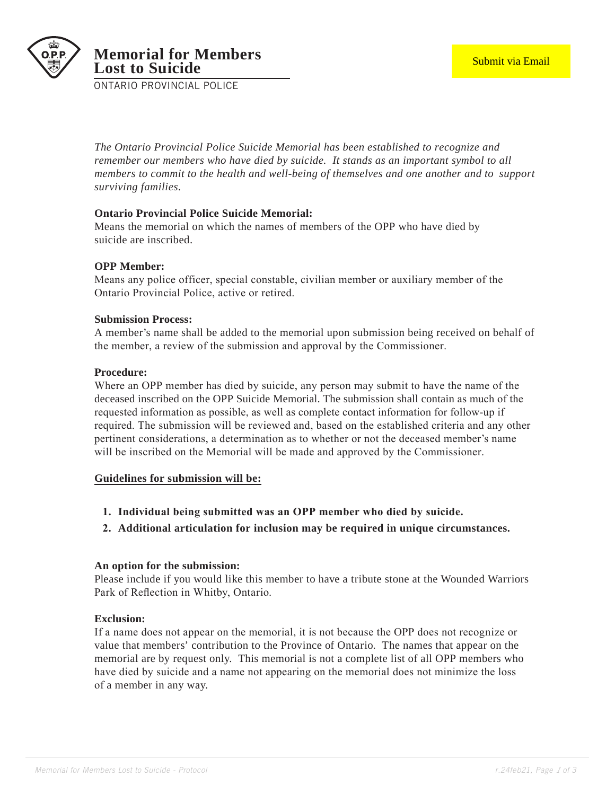

ONTARIO PROVINCIAL POLICE

*The Ontario Provincial Police Suicide Memorial has been established to recognize and remember our members who have died by suicide. It stands as an important symbol to all members to commit to the health and well-being of themselves and one another and to support surviving families.* 

# **Ontario Provincial Police Suicide Memorial:**

Means the memorial on which the names of members of the OPP who have died by suicide are inscribed.

#### **OPP Member:**

Means any police officer, special constable, civilian member or auxiliary member of the Ontario Provincial Police, active or retired.

#### **Submission Process:**

A member's name shall be added to the memorial upon submission being received on behalf of the member, a review of the submission and approval by the Commissioner.

#### **Procedure:**

Where an OPP member has died by suicide, any person may submit to have the name of the deceased inscribed on the OPP Suicide Memorial. The submission shall contain as much of the requested information as possible, as well as complete contact information for follow-up if required. The submission will be reviewed and, based on the established criteria and any other pertinent considerations, a determination as to whether or not the deceased member's name will be inscribed on the Memorial will be made and approved by the Commissioner.

#### **Guidelines for submission will be:**

- **1. Individual being submitted was an OPP member who died by suicide.**
- **2. Additional articulation for inclusion may be required in unique circumstances.**

#### **An option for the submission:**

Please include if you would like this member to have a tribute stone at the Wounded Warriors Park of Reflection in Whitby, Ontario.

## **Exclusion:**

If a name does not appear on the memorial, it is not because the OPP does not recognize or value that members' contribution to the Province of Ontario. The names that appear on the memorial are by request only. This memorial is not a complete list of all OPP members who have died by suicide and a name not appearing on the memorial does not minimize the loss of a member in any way.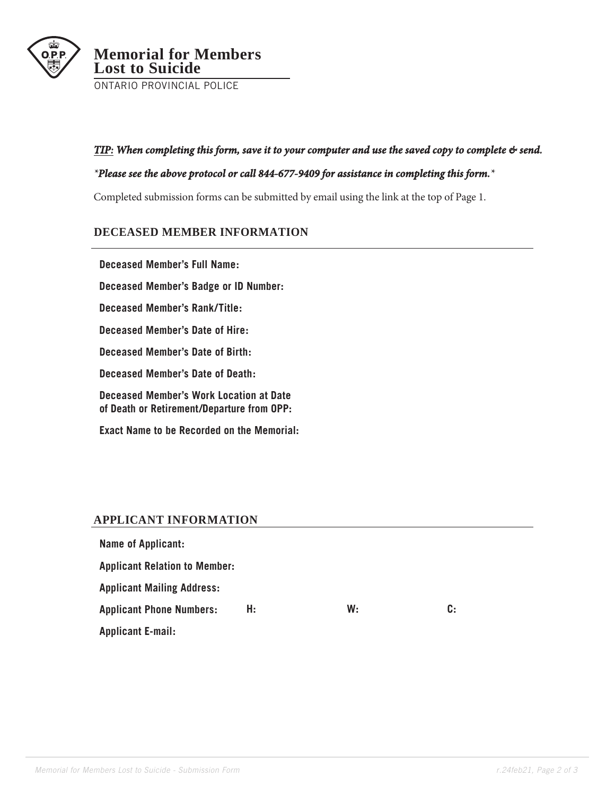

## *TIP: When completing this form, save it to your computer and use the saved copy to complete & send.*

#### *\*Please see the above protocol or call 844-677-9409 for assistance in completing this form.\**

Completed submission forms can be submitted by email using the link at the top of Page 1.

# **DECEASED MEMBER INFORMATION**

**Deceased Member's Full Name: Deceased Member's Badge or ID Number: Deceased Member's Rank/Title: Deceased Member's Date of Hire: Deceased Member's Date of Birth: Deceased Member's Date of Death: Deceased Member's Work Location at Date of Death or Retirement/Departure from OPP: Exact Name to be Recorded on the Memorial:**

# **APPLICANT INFORMATION**

| Name of Applicant:                   |    |    |    |
|--------------------------------------|----|----|----|
| <b>Applicant Relation to Member:</b> |    |    |    |
| <b>Applicant Mailing Address:</b>    |    |    |    |
| <b>Applicant Phone Numbers:</b>      | Н: | W: | C: |
| <b>Applicant E-mail:</b>             |    |    |    |